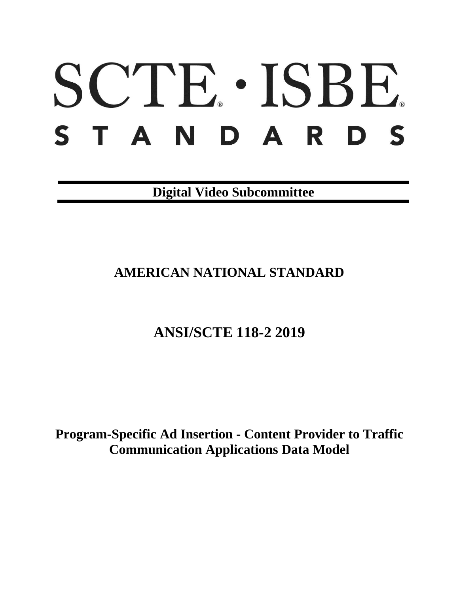# SCTE · ISBE. STANDARDS

**Digital Video Subcommittee**

# **AMERICAN NATIONAL STANDARD**

# **ANSI/SCTE 118-2 2019**

**Program-Specific Ad Insertion - Content Provider to Traffic Communication Applications Data Model**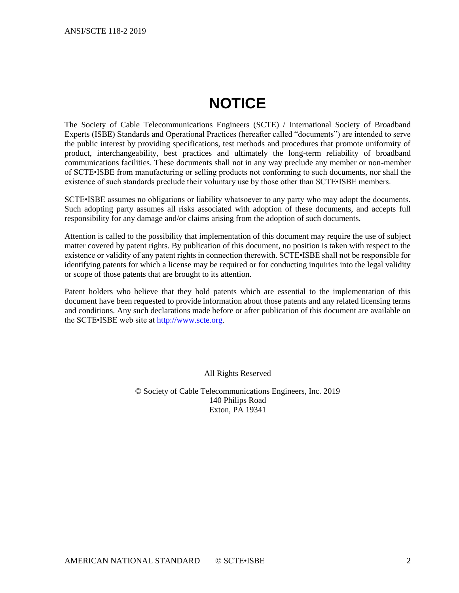# **NOTICE**

<span id="page-1-0"></span>The Society of Cable Telecommunications Engineers (SCTE) / International Society of Broadband Experts (ISBE) Standards and Operational Practices (hereafter called "documents") are intended to serve the public interest by providing specifications, test methods and procedures that promote uniformity of product, interchangeability, best practices and ultimately the long-term reliability of broadband communications facilities. These documents shall not in any way preclude any member or non-member of SCTE•ISBE from manufacturing or selling products not conforming to such documents, nor shall the existence of such standards preclude their voluntary use by those other than SCTE•ISBE members.

SCTE•ISBE assumes no obligations or liability whatsoever to any party who may adopt the documents. Such adopting party assumes all risks associated with adoption of these documents, and accepts full responsibility for any damage and/or claims arising from the adoption of such documents.

Attention is called to the possibility that implementation of this document may require the use of subject matter covered by patent rights. By publication of this document, no position is taken with respect to the existence or validity of any patent rights in connection therewith. SCTE•ISBE shall not be responsible for identifying patents for which a license may be required or for conducting inquiries into the legal validity or scope of those patents that are brought to its attention.

Patent holders who believe that they hold patents which are essential to the implementation of this document have been requested to provide information about those patents and any related licensing terms and conditions. Any such declarations made before or after publication of this document are available on the SCTE•ISBE web site at [http://www.scte.org.](http://www.scte.org/)

All Rights Reserved

© Society of Cable Telecommunications Engineers, Inc. 2019 140 Philips Road Exton, PA 19341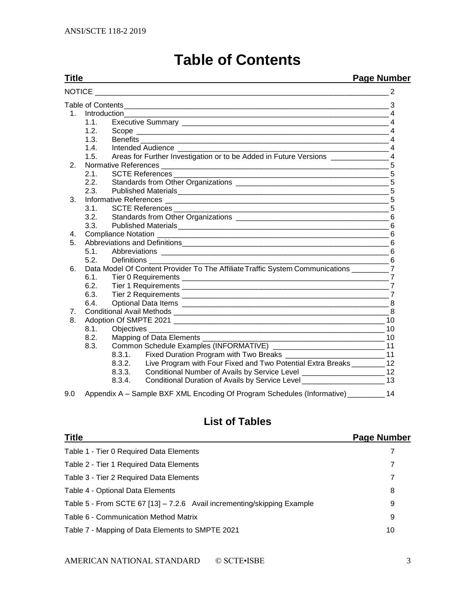| <b>Table of Contents</b> |  |
|--------------------------|--|
|--------------------------|--|

# <span id="page-2-0"></span>**Title Page Number**

| <b>NOTICE</b>  |      | <u> 1980 - Jan Barat, margaret amerikan basar dan berasal dari berasal dalam basar dalam basar dalam basar dalam </u> | 2               |
|----------------|------|-----------------------------------------------------------------------------------------------------------------------|-----------------|
|                |      | $\sim$ 3                                                                                                              |                 |
| $1 \quad$      |      |                                                                                                                       |                 |
|                | 1.1. |                                                                                                                       | $\overline{4}$  |
|                | 1.2. |                                                                                                                       | $\overline{4}$  |
|                | 1.3. |                                                                                                                       | $\overline{4}$  |
|                | 1.4. |                                                                                                                       | $\overline{4}$  |
|                | 1.5. | Areas for Further Investigation or to be Added in Future Versions ______________                                      | $\overline{4}$  |
| 2.             |      |                                                                                                                       | 5               |
|                | 2.1. |                                                                                                                       | 5               |
|                | 2.2. |                                                                                                                       | $5\phantom{.0}$ |
|                | 2.3. |                                                                                                                       |                 |
| 3.             |      |                                                                                                                       |                 |
|                | 3.1. |                                                                                                                       |                 |
|                | 3.2. |                                                                                                                       |                 |
|                | 3.3. |                                                                                                                       |                 |
| 4.             |      |                                                                                                                       |                 |
| 5 <sub>1</sub> |      |                                                                                                                       |                 |
|                | 5.1. |                                                                                                                       | 6               |
|                | 5.2. |                                                                                                                       |                 |
| 6.             |      | Data Model Of Content Provider To The Affiliate Traffic System Communications ________                                | $\overline{7}$  |
|                | 6.1. |                                                                                                                       |                 |
|                | 6.2. |                                                                                                                       |                 |
|                | 6.3. |                                                                                                                       |                 |
|                | 6.4. |                                                                                                                       | 8               |
| 7 <sub>1</sub> |      |                                                                                                                       | 8               |
| 8.             |      |                                                                                                                       | 10              |
|                | 8.1. |                                                                                                                       | 10              |
|                | 8.2. |                                                                                                                       | 10              |
|                | 8.3. |                                                                                                                       |                 |
|                |      | 8.3.1.                                                                                                                |                 |
|                |      | 8.3.2.<br>Live Program with Four Fixed and Two Potential Extra Breaks _________ 12                                    |                 |
|                |      | 8.3.3.<br>Conditional Number of Avails by Service Level ________________________ 12                                   |                 |
|                |      | Conditional Duration of Avails by Service Level _________________________ 13<br>8.3.4.                                |                 |
| 9.0            |      | Appendix A - Sample BXF XML Encoding Of Program Schedules (Informative) _________ 14                                  |                 |
|                |      |                                                                                                                       |                 |

# **List of Tables**

| <b>Title</b>                                                            | Page Number |
|-------------------------------------------------------------------------|-------------|
| Table 1 - Tier 0 Required Data Elements                                 |             |
| Table 2 - Tier 1 Required Data Elements                                 | 7           |
| Table 3 - Tier 2 Required Data Elements                                 | 7           |
| Table 4 - Optional Data Elements                                        | 8           |
| Table 5 - From SCTE 67 [13] - 7.2.6 Avail incrementing/skipping Example | 9           |
| Table 6 - Communication Method Matrix                                   | 9           |
| Table 7 - Mapping of Data Elements to SMPTE 2021                        | 10          |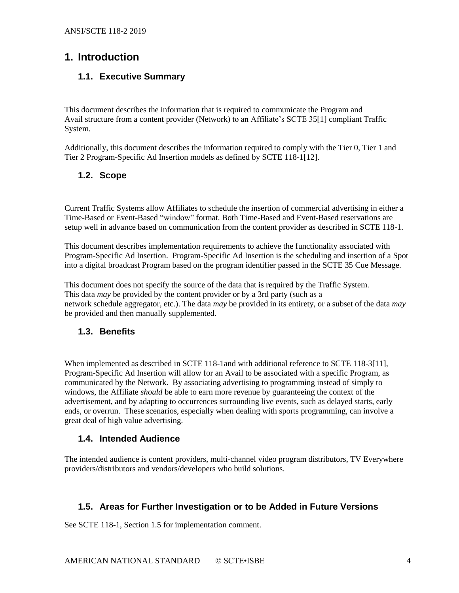# <span id="page-3-0"></span>**1. Introduction**

#### <span id="page-3-1"></span>**1.1. Executive Summary**

This document describes the information that is required to communicate the Program and Avail structure from a content provider (Network) to an Affiliate's SCTE 3[5\[1\]](#page-4-6) compliant Traffic System.

Additionally, this document describes the information required to comply with the Tier 0, Tier 1 and Tier 2 Program-Specific Ad Insertion models as defined by SCTE 118-[1\[12\].](#page-4-7)

#### <span id="page-3-2"></span>**1.2. Scope**

Current Traffic Systems allow Affiliates to schedule the insertion of commercial advertising in either a Time-Based or Event-Based "window" format. Both Time-Based and Event-Based reservations are setup well in advance based on communication from the content provider as described in SCTE 118-1.

This document describes implementation requirements to achieve the functionality associated with Program-Specific Ad Insertion. Program-Specific Ad Insertion is the scheduling and insertion of a Spot into a digital broadcast Program based on the program identifier passed in the SCTE 35 Cue Message.

This document does not specify the source of the data that is required by the Traffic System. This data *may* be provided by the content provider or by a 3rd party (such as a network schedule aggregator, etc.). The data *may* be provided in its entirety, or a subset of the data *may* be provided and then manually supplemented.

#### <span id="page-3-3"></span>**1.3. Benefits**

When implemented as described in SCTE 118-1and with additional reference to SCTE 118-[3\[11\],](#page-4-8) Program-Specific Ad Insertion will allow for an Avail to be associated with a specific Program, as communicated by the Network. By associating advertising to programming instead of simply to windows, the Affiliate *should* be able to earn more revenue by guaranteeing the context of the advertisement, and by adapting to occurrences surrounding live events, such as delayed starts, early ends, or overrun. These scenarios, especially when dealing with sports programming, can involve a great deal of high value advertising.

#### <span id="page-3-4"></span>**1.4. Intended Audience**

The intended audience is content providers, multi-channel video program distributors, TV Everywhere providers/distributors and vendors/developers who build solutions.

#### <span id="page-3-5"></span>**1.5. Areas for Further Investigation or to be Added in Future Versions**

See SCTE 118-1, Section 1.5 for implementation comment.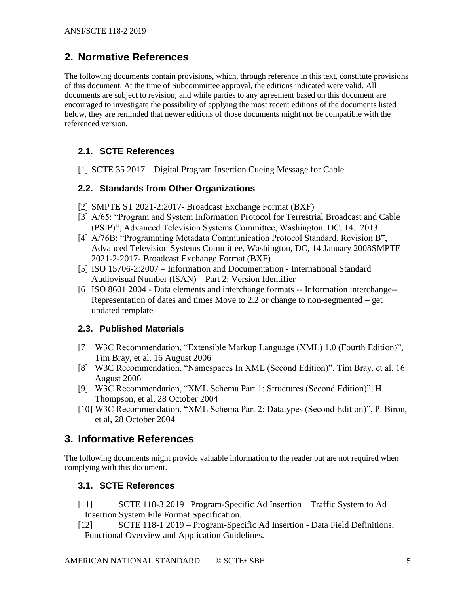# <span id="page-4-0"></span>**2. Normative References**

The following documents contain provisions, which, through reference in this text, constitute provisions of this document. At the time of Subcommittee approval, the editions indicated were valid. All documents are subject to revision; and while parties to any agreement based on this document are encouraged to investigate the possibility of applying the most recent editions of the documents listed below, they are reminded that newer editions of those documents might not be compatible with the referenced version.

# <span id="page-4-1"></span>**2.1. SCTE References**

<span id="page-4-6"></span>[1] SCTE 35 2017 – Digital Program Insertion Cueing Message for Cable

#### <span id="page-4-2"></span>**2.2. Standards from Other Organizations**

- <span id="page-4-12"></span>[2] SMPTE ST 2021-2:2017- Broadcast Exchange Format (BXF)
- <span id="page-4-10"></span>[3] A/65: "Program and System Information Protocol for Terrestrial Broadcast and Cable (PSIP)", Advanced Television Systems Committee, Washington, DC, 14. 2013
- <span id="page-4-11"></span>[4] A/76B: "Programming Metadata Communication Protocol Standard, Revision B", Advanced Television Systems Committee, Washington, DC, 14 January 2008SMPTE 2021-2-2017- Broadcast Exchange Format (BXF)
- <span id="page-4-9"></span>[5] ISO 15706-2:2007 – Information and Documentation - International Standard Audiovisual Number (ISAN) – Part 2: Version Identifier
- [6] ISO 8601 2004 Data elements and interchange formats -- Information interchange--Representation of dates and times Move to 2.2 or change to non-segmented – get updated template

# <span id="page-4-3"></span>**2.3. Published Materials**

- [7] W3C Recommendation, "Extensible Markup Language (XML) 1.0 (Fourth Edition)", Tim Bray, et al, 16 August 2006
- [8] W3C Recommendation, "Namespaces In XML (Second Edition)", Tim Bray, et al, 16 August 2006
- [9] W3C Recommendation, "XML Schema Part 1: Structures (Second Edition)", H. Thompson, et al, 28 October 2004
- [10] W3C Recommendation, "XML Schema Part 2: Datatypes (Second Edition)", P. Biron, et al, 28 October 2004

# <span id="page-4-4"></span>**3. Informative References**

The following documents might provide valuable information to the reader but are not required when complying with this document.

# <span id="page-4-5"></span>**3.1. SCTE References**

- <span id="page-4-8"></span>[11] SCTE 118-3 2019– Program-Specific Ad Insertion – Traffic System to Ad Insertion System File Format Specification.
- <span id="page-4-7"></span>[12] SCTE 118-1 2019 – Program-Specific Ad Insertion - Data Field Definitions, Functional Overview and Application Guidelines.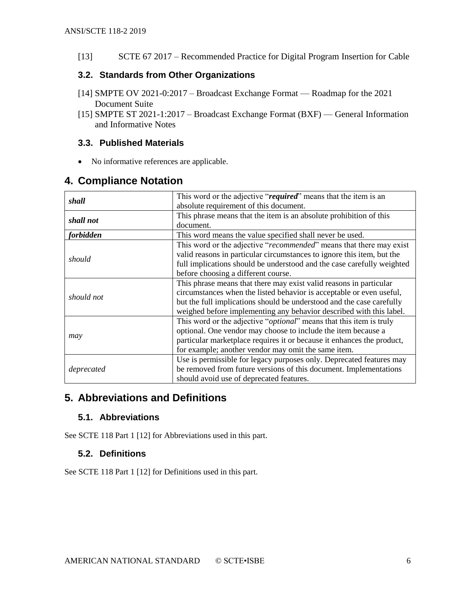<span id="page-5-6"></span><span id="page-5-0"></span>[13] SCTE 67 2017 – Recommended Practice for Digital Program Insertion for Cable

#### **3.2. Standards from Other Organizations**

- [14] SMPTE OV 2021-0:2017 Broadcast Exchange Format Roadmap for the 2021 Document Suite
- [15] SMPTE ST 2021-1:2017 Broadcast Exchange Format (BXF) General Information and Informative Notes

#### <span id="page-5-1"></span>**3.3. Published Materials**

• No informative references are applicable.

|                                                 | This word or the adjective "required" means that the item is an              |  |  |
|-------------------------------------------------|------------------------------------------------------------------------------|--|--|
| shall<br>absolute requirement of this document. |                                                                              |  |  |
|                                                 | This phrase means that the item is an absolute prohibition of this           |  |  |
| shall not                                       | document.                                                                    |  |  |
| forbidden                                       | This word means the value specified shall never be used.                     |  |  |
|                                                 | This word or the adjective "recommended" means that there may exist          |  |  |
| should                                          | valid reasons in particular circumstances to ignore this item, but the       |  |  |
|                                                 | full implications should be understood and the case carefully weighted       |  |  |
|                                                 | before choosing a different course.                                          |  |  |
|                                                 | This phrase means that there may exist valid reasons in particular           |  |  |
| should not                                      | circumstances when the listed behavior is acceptable or even useful,         |  |  |
|                                                 | but the full implications should be understood and the case carefully        |  |  |
|                                                 | weighed before implementing any behavior described with this label.          |  |  |
|                                                 | This word or the adjective " <i>optional</i> " means that this item is truly |  |  |
|                                                 | optional. One vendor may choose to include the item because a                |  |  |
| may                                             | particular marketplace requires it or because it enhances the product,       |  |  |
|                                                 | for example; another vendor may omit the same item.                          |  |  |
|                                                 | Use is permissible for legacy purposes only. Deprecated features may         |  |  |
| deprecated                                      | be removed from future versions of this document. Implementations            |  |  |
|                                                 | should avoid use of deprecated features.                                     |  |  |

# <span id="page-5-2"></span>**4. Compliance Notation**

# <span id="page-5-3"></span>**5. Abbreviations and Definitions**

#### <span id="page-5-4"></span>**5.1. Abbreviations**

<span id="page-5-5"></span>See SCTE 118 Part 1 [\[12\]](#page-4-7) for Abbreviations used in this part.

#### **5.2. Definitions**

See SCTE 118 Part 1 [\[12\]](#page-4-7) for Definitions used in this part.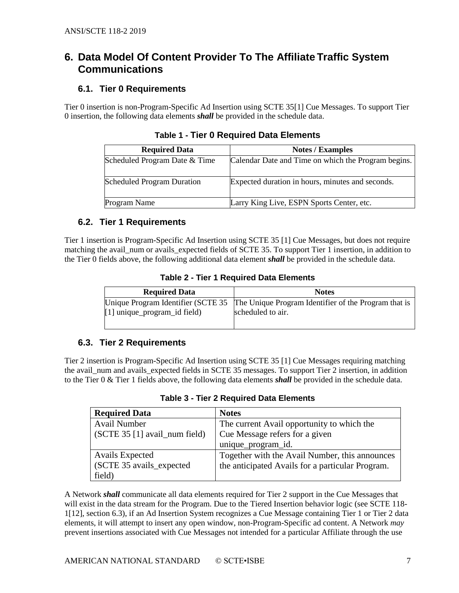# <span id="page-6-0"></span>**6. Data Model Of Content Provider To The Affiliate Traffic System Communications**

## <span id="page-6-1"></span>**6.1. Tier 0 Requirements**

<span id="page-6-4"></span>Tier 0 insertion is non-Program-Specific Ad Insertion using SCTE 3[5\[1\]](#page-4-6) Cue Messages. To support Tier 0 insertion, the following data elements *shall* be provided in the schedule data.

| <b>Required Data</b>              | <b>Notes / Examples</b>                             |
|-----------------------------------|-----------------------------------------------------|
| Scheduled Program Date & Time     | Calendar Date and Time on which the Program begins. |
| <b>Scheduled Program Duration</b> | Expected duration in hours, minutes and seconds.    |
| Program Name                      | Larry King Live, ESPN Sports Center, etc.           |

#### **Table 1 - Tier 0 Required Data Elements**

#### <span id="page-6-2"></span>**6.2. Tier 1 Requirements**

<span id="page-6-5"></span>Tier 1 insertion is Program-Specific Ad Insertion using SCTE 35 [\[1\]](#page-4-6) Cue Messages, but does not require matching the avail\_num or avails\_expected fields of SCTE 35. To support Tier 1 insertion, in addition to the Tier 0 fields above, the following additional data element *shall* be provided in the schedule data.

#### **Table 2 - Tier 1 Required Data Elements**

| <b>Required Data</b>           | <b>Notes</b>                                                                                                 |
|--------------------------------|--------------------------------------------------------------------------------------------------------------|
| $[1]$ unique_program_id field) | Unique Program Identifier (SCTE 35 The Unique Program Identifier of the Program that is<br>scheduled to air. |

#### <span id="page-6-3"></span>**6.3. Tier 2 Requirements**

<span id="page-6-6"></span>Tier 2 insertion is Program-Specific Ad Insertion using SCTE 35 [\[1\]](#page-4-6) Cue Messages requiring matching the avail\_num and avails\_expected fields in SCTE 35 messages. To support Tier 2 insertion, in addition to the Tier 0 & Tier 1 fields above, the following data elements *shall* be provided in the schedule data.

| <b>Required Data</b>          | <b>Notes</b>                                     |
|-------------------------------|--------------------------------------------------|
| <b>Avail Number</b>           | The current Avail opportunity to which the       |
| (SCTE 35 [1] avail_num field) | Cue Message refers for a given                   |
|                               | unique_program_id.                               |
| <b>Avails Expected</b>        | Together with the Avail Number, this announces   |
| (SCTE 35 avails_expected      | the anticipated Avails for a particular Program. |
| field)                        |                                                  |

**Table 3 - Tier 2 Required Data Elements**

A Network *shall* communicate all data elements required for Tier 2 support in the Cue Messages that will exist in the data stream for the Program. Due to the Tiered Insertion behavior logic (see SCTE 118- [1\[12\],](#page-4-7) section 6.3), if an Ad Insertion System recognizes a Cue Message containing Tier 1 or Tier 2 data elements, it will attempt to insert any open window, non-Program-Specific ad content. A Network *may* prevent insertions associated with Cue Messages not intended for a particular Affiliate through the use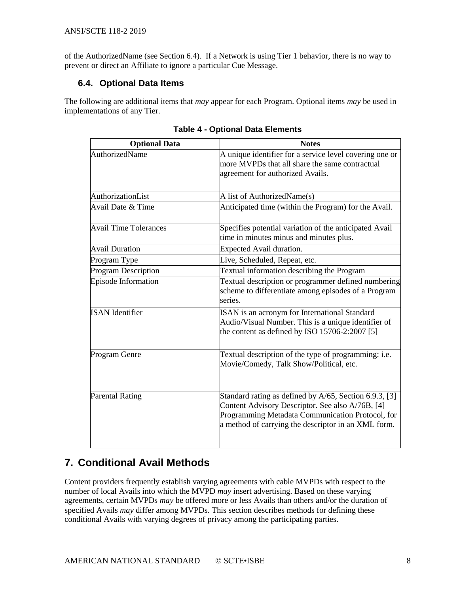of the AuthorizedName (see Section 6.4). If a Network is using Tier 1 behavior, there is no way to prevent or direct an Affiliate to ignore a particular Cue Message.

## <span id="page-7-0"></span>**6.4. Optional Data Items**

<span id="page-7-2"></span>The following are additional items that *may* appear for each Program. Optional items *may* be used in implementations of any Tier.

| <b>Optional Data</b>         | <b>Notes</b>                                                                                                                                                                                                             |
|------------------------------|--------------------------------------------------------------------------------------------------------------------------------------------------------------------------------------------------------------------------|
| AuthorizedName               | A unique identifier for a service level covering one or<br>more MVPDs that all share the same contractual<br>agreement for authorized Avails.                                                                            |
| AuthorizationList            | A list of AuthorizedName(s)                                                                                                                                                                                              |
| Avail Date & Time            | Anticipated time (within the Program) for the Avail.                                                                                                                                                                     |
| <b>Avail Time Tolerances</b> | Specifies potential variation of the anticipated Avail<br>time in minutes minus and minutes plus.                                                                                                                        |
| <b>Avail Duration</b>        | Expected Avail duration.                                                                                                                                                                                                 |
| Program Type                 | Live, Scheduled, Repeat, etc.                                                                                                                                                                                            |
| Program Description          | Textual information describing the Program                                                                                                                                                                               |
| <b>Episode Information</b>   | Textual description or programmer defined numbering<br>scheme to differentiate among episodes of a Program<br>series.                                                                                                    |
| <b>ISAN</b> Identifier       | ISAN is an acronym for International Standard<br>Audio/Visual Number. This is a unique identifier of<br>the content as defined by ISO 15706-2:2007 [5]                                                                   |
| Program Genre                | Textual description of the type of programming: i.e.<br>Movie/Comedy, Talk Show/Political, etc.                                                                                                                          |
| <b>Parental Rating</b>       | Standard rating as defined by $A/65$ , Section 6.9.3, [3]<br>Content Advisory Descriptor. See also A/76B, [4]<br>Programming Metadata Communication Protocol, for<br>a method of carrying the descriptor in an XML form. |

**Table 4 - Optional Data Elements**

# <span id="page-7-1"></span>**7. Conditional Avail Methods**

Content providers frequently establish varying agreements with cable MVPDs with respect to the number of local Avails into which the MVPD *may* insert advertising. Based on these varying agreements, certain MVPDs *may* be offered more or less Avails than others and/or the duration of specified Avails *may* differ among MVPDs. This section describes methods for defining these conditional Avails with varying degrees of privacy among the participating parties.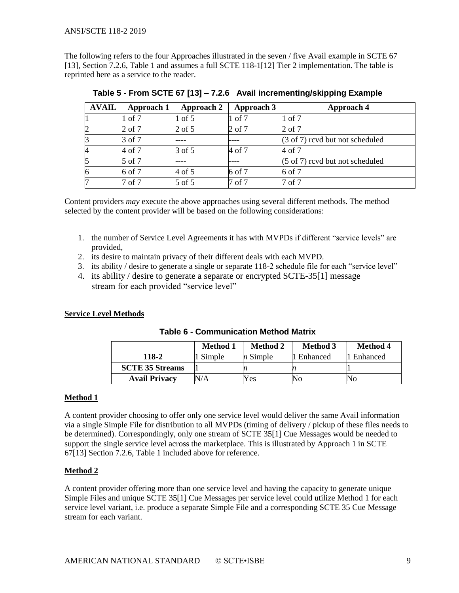<span id="page-8-0"></span>The following refers to the four Approaches illustrated in the seven / five Avail example in SCTE 67 [\[13\],](#page-5-6) Section 7.2.6, Table 1 and assumes a full SCTE 118-[1\[12\]](#page-4-7) Tier 2 implementation. The table is reprinted here as a service to the reader.

| <b>AVAIL</b> | Approach 1 | Approach 2 | Approach 3 | Approach 4                                 |
|--------------|------------|------------|------------|--------------------------------------------|
|              | 1 of 7     | $1$ of $5$ | $1$ of $7$ | 1 of 7                                     |
|              | 2 of 7     | 2 of 5     | 2 of 7     | $2$ of $7$                                 |
|              | 3 of 7     | ----       |            | (3 of 7) revd but not scheduled            |
|              | 4 of 7     | 3 of 5     | 4 of 7     | 4 of 7                                     |
|              | 5 of 7     |            |            | $(5 \text{ of } 7)$ rcvd but not scheduled |
| 16           | 6 of 7     | 4 of 5     | 6 of 7     | 6 of 7                                     |
|              | 7 of 7     | 5 of 5     | 7 of 7     | 7 of 7                                     |

**Table 5 - From SCTE 67 [13] – 7.2.6 Avail incrementing/skipping Example**

Content providers *may* execute the above approaches using several different methods. The method selected by the content provider will be based on the following considerations:

- 1. the number of Service Level Agreements it has with MVPDs if different "service levels" are provided,
- 2. its desire to maintain privacy of their different deals with each MVPD.
- 3. its ability / desire to generate a single or separate 118-2 schedule file for each "service level"
- 4. its ability / desire to generate a separate or encrypted SCTE-3[5\[1\]](#page-4-6) message stream for each provided "service level"

#### <span id="page-8-1"></span>**Service Level Methods**

|                        | <b>Method 1</b> | <b>Method 2</b> | <b>Method 3</b> | <b>Method 4</b> |
|------------------------|-----------------|-----------------|-----------------|-----------------|
| 118-2                  | Simple          | <i>n</i> Simple | Enhanced        | Enhanced        |
| <b>SCTE 35 Streams</b> |                 |                 |                 |                 |
| <b>Avail Privacy</b>   | N/A             | Yes             | No              | No              |

**Table 6 - Communication Method Matrix**

#### **Method 1**

A content provider choosing to offer only one service level would deliver the same Avail information via a single Simple File for distribution to all MVPDs (timing of delivery / pickup of these files needs to be determined). Correspondingly, only one stream of SCTE 3[5\[1\]](#page-4-6) Cue Messages would be needed to support the single service level across the marketplace. This is illustrated by Approach 1 in SCTE 6[7\[13\]](#page-5-6) Section 7.2.6, Table 1 included above for reference.

#### **Method 2**

A content provider offering more than one service level and having the capacity to generate unique Simple Files and unique SCTE 3[5\[1\]](#page-4-6) Cue Messages per service level could utilize Method 1 for each service level variant, i.e. produce a separate Simple File and a corresponding SCTE 35 Cue Message stream for each variant.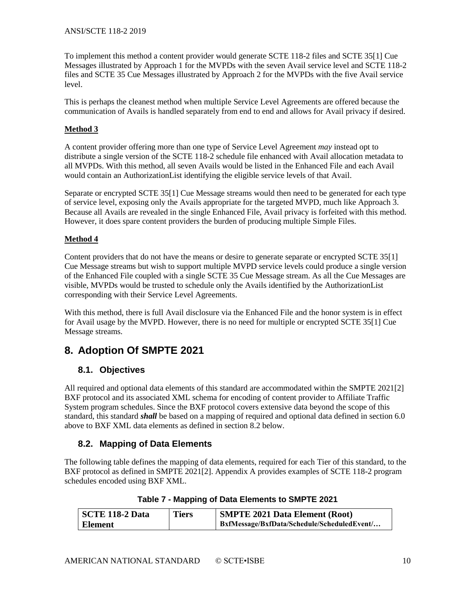To implement this method a content provider would generate SCTE 118-2 files and SCTE 3[5\[1\]](#page-4-6) Cue Messages illustrated by Approach 1 for the MVPDs with the seven Avail service level and SCTE 118-2 files and SCTE 35 Cue Messages illustrated by Approach 2 for the MVPDs with the five Avail service level.

This is perhaps the cleanest method when multiple Service Level Agreements are offered because the communication of Avails is handled separately from end to end and allows for Avail privacy if desired.

#### **Method 3**

A content provider offering more than one type of Service Level Agreement *may* instead opt to distribute a single version of the SCTE 118-2 schedule file enhanced with Avail allocation metadata to all MVPDs. With this method, all seven Avails would be listed in the Enhanced File and each Avail would contain an AuthorizationList identifying the eligible service levels of that Avail.

Separate or encrypted SCTE 3[5\[1\]](#page-4-6) Cue Message streams would then need to be generated for each type of service level, exposing only the Avails appropriate for the targeted MVPD, much like Approach 3. Because all Avails are revealed in the single Enhanced File, Avail privacy is forfeited with this method. However, it does spare content providers the burden of producing multiple Simple Files.

#### **Method 4**

Content providers that do not have the means or desire to generate separate or encrypted SCTE 3[5\[1\]](#page-4-6) Cue Message streams but wish to support multiple MVPD service levels could produce a single version of the Enhanced File coupled with a single SCTE 35 Cue Message stream. As all the Cue Messages are visible, MVPDs would be trusted to schedule only the Avails identified by the AuthorizationList corresponding with their Service Level Agreements.

With this method, there is full Avail disclosure via the Enhanced File and the honor system is in effect for Avail usage by the MVPD. However, there is no need for multiple or encrypted SCTE 35[1] Cue Message streams.

# <span id="page-9-0"></span>**8. Adoption Of SMPTE 2021**

# <span id="page-9-1"></span>**8.1. Objectives**

All required and optional data elements of this standard are accommodated within the SMPTE 202[1\[2\]](#page-4-12) BXF protocol and its associated XML schema for encoding of content provider to Affiliate Traffic System program schedules. Since the BXF protocol covers extensive data beyond the scope of this standard, this standard *shall* be based on a mapping of required and optional data defined in section 6.0 above to BXF XML data elements as defined in section 8.2 below.

# <span id="page-9-2"></span>**8.2. Mapping of Data Elements**

The following table defines the mapping of data elements, required for each Tier of this standard, to the BXF protocol as defined in SMPTE 202[1\[2\].](#page-4-12) Appendix A provides examples of SCTE 118-2 program schedules encoded using BXF XML.

<span id="page-9-3"></span>

| <b>SCTE 118-2 Data</b> | <b>Tiers</b> | <b>SMPTE 2021 Data Element (Root)</b>       |
|------------------------|--------------|---------------------------------------------|
| Element                |              | BxfMessage/BxfData/Schedule/ScheduledEvent/ |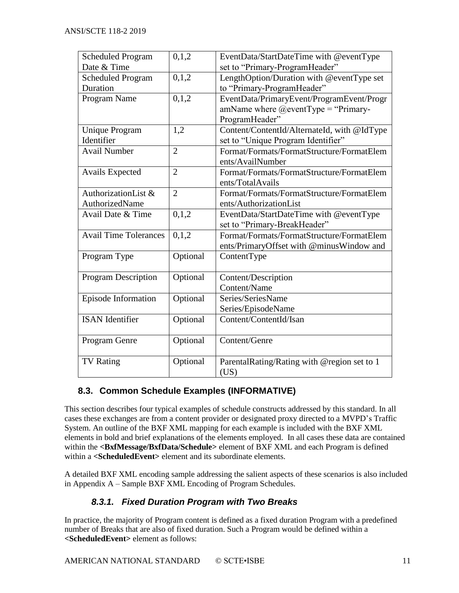| <b>Scheduled Program</b>     | 0,1,2          | EventData/StartDateTime with @eventType     |
|------------------------------|----------------|---------------------------------------------|
| Date & Time                  |                | set to "Primary-ProgramHeader"              |
| <b>Scheduled Program</b>     | 0,1,2          | LengthOption/Duration with @eventType set   |
| Duration                     |                | to "Primary-ProgramHeader"                  |
| Program Name                 | 0,1,2          | EventData/PrimaryEvent/ProgramEvent/Progr   |
|                              |                | amName where $@$ event Type = "Primary-     |
|                              |                | ProgramHeader"                              |
| <b>Unique Program</b>        | 1,2            | Content/ContentId/AlternateId, with @IdType |
| Identifier                   |                | set to "Unique Program Identifier"          |
| <b>Avail Number</b>          | $\overline{2}$ | Format/Formats/FormatStructure/FormatElem   |
|                              |                | ents/AvailNumber                            |
| <b>Avails Expected</b>       | $\overline{2}$ | Format/Formats/FormatStructure/FormatElem   |
|                              |                | ents/TotalAvails                            |
| AuthorizationList &          | $\overline{2}$ | Format/Formats/FormatStructure/FormatElem   |
| AuthorizedName               |                | ents/AuthorizationList                      |
| Avail Date & Time            | 0,1,2          | EventData/StartDateTime with @eventType     |
|                              |                | set to "Primary-BreakHeader"                |
| <b>Avail Time Tolerances</b> | 0,1,2          | Format/Formats/FormatStructure/FormatElem   |
|                              |                | ents/PrimaryOffset with @minusWindow and    |
| Program Type                 | Optional       | ContentType                                 |
|                              |                |                                             |
| Program Description          | Optional       | Content/Description                         |
|                              |                | Content/Name                                |
| Episode Information          | Optional       | Series/SeriesName                           |
|                              |                | Series/EpisodeName                          |
| <b>ISAN</b> Identifier       | Optional       | Content/ContentId/Isan                      |
|                              |                |                                             |
| Program Genre                | Optional       | Content/Genre                               |
|                              |                |                                             |
| <b>TV Rating</b>             | Optional       | ParentalRating/Rating with @region set to 1 |
|                              |                | (US)                                        |

# <span id="page-10-0"></span>**8.3. Common Schedule Examples (INFORMATIVE)**

This section describes four typical examples of schedule constructs addressed by this standard. In all cases these exchanges are from a content provider or designated proxy directed to a MVPD's Traffic System. An outline of the BXF XML mapping for each example is included with the BXF XML elements in bold and brief explanations of the elements employed. In all cases these data are contained within the **<BxfMessage/BxfData/Schedule>** element of BXF XML and each Program is defined within a **<ScheduledEvent>** element and its subordinate elements.

<span id="page-10-1"></span>A detailed BXF XML encoding sample addressing the salient aspects of these scenarios is also included in Appendix A – Sample BXF XML Encoding of Program Schedules.

# *8.3.1. Fixed Duration Program with Two Breaks*

In practice, the majority of Program content is defined as a fixed duration Program with a predefined number of Breaks that are also of fixed duration. Such a Program would be defined within a **<ScheduledEvent>** element as follows: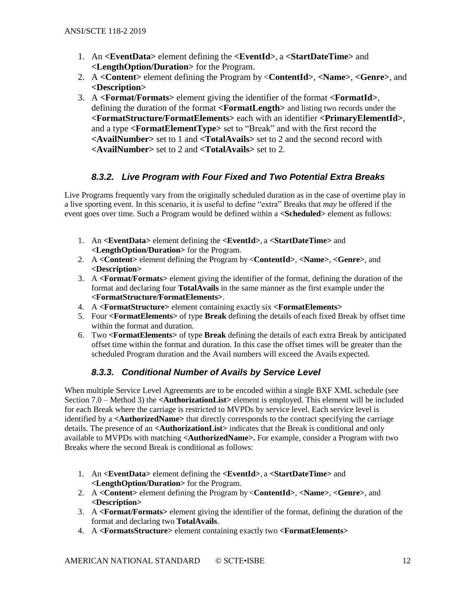- 1. An **<EventData>** element defining the **<EventId>**, a **<StartDateTime>** and **<LengthOption/Duration>** for the Program.
- 2. A **<Content>** element defining the Program by <**ContentId>**, **<Name>**, **<Genre>**, and **<Description>**
- 3. A **<Format/Formats>** element giving the identifier of the format **<FormatId>**, defining the duration of the format **<FormatLength>** and listing two records under the **<FormatStructure/FormatElements>** each with an identifier **<PrimaryElementId>**, and a type **<FormatElementType>** set to "Break" and with the first record the **<AvailNumber>** set to 1 and **<TotalAvails>** set to 2 and the second record with **<AvailNumber>** set to 2 and **<TotalAvails>** set to 2.

# *8.3.2. Live Program with Four Fixed and Two Potential Extra Breaks*

<span id="page-11-0"></span>Live Programs frequently vary from the originally scheduled duration as in the case of overtime play in a live sporting event. In this scenario, it is useful to define "extra" Breaks that *may* be offered if the event goes over time. Such a Program would be defined within a **<Scheduled>** element as follows:

- 1. An **<EventData>** element defining the **<EventId>**, a **<StartDateTime>** and **<LengthOption/Duration>** for the Program.
- 2. A **<Content>** element defining the Program by <**ContentId>**, **<Name>**, **<Genre>**, and **<Description>**
- 3. A **<Format/Formats>** element giving the identifier of the format, defining the duration of the format and declaring four **TotalAvails** in the same manner as the first example under the **<FormatStructure/FormatElements>**.
- 4. A **<FormatStructure>** element containing exactly six **<FormatElements>**
- 5. Four **<FormatElements>** of type **Break** defining the details of each fixed Break by offset time within the format and duration.
- 6. Two **<FormatElements>** of type **Break** defining the details of each extra Break by anticipated offset time within the format and duration. In this case the offset times will be greater than the scheduled Program duration and the Avail numbers will exceed the Avails expected.

# *8.3.3. Conditional Number of Avails by Service Level*

<span id="page-11-1"></span>When multiple Service Level Agreements are to be encoded within a single BXF XML schedule (see Section 7.0 – Method 3) the **<AuthorizationList>** element is employed. This element will be included for each Break where the carriage is restricted to MVPDs by service level. Each service level is identified by a **<AuthorizedName>** that directly corresponds to the contract specifying the carriage details. The presence of an **<AuthorizationList>** indicates that the Break is conditional and only available to MVPDs with matching **<AuthorizedName>.** For example, consider a Program with two Breaks where the second Break is conditional as follows:

- 1. An **<EventData>** element defining the **<EventId>**, a **<StartDateTime>** and **<LengthOption/Duration>** for the Program.
- 2. A **<Content>** element defining the Program by <**ContentId>**, **<Name>**, **<Genre>**, and **<Description>**
- 3. A **<Format/Formats>** element giving the identifier of the format, defining the duration of the format and declaring two **TotalAvails**.
- 4. A **<FormatsStructure>** element containing exactly two **<FormatElements>**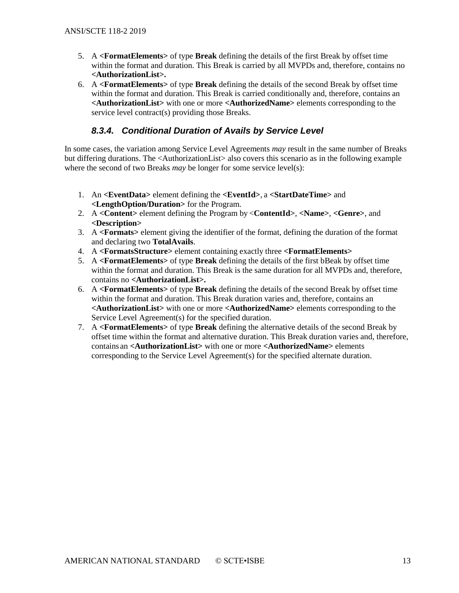- 5. A **<FormatElements>** of type **Break** defining the details of the first Break by offset time within the format and duration. This Break is carried by all MVPDs and, therefore, contains no **<AuthorizationList>.**
- 6. A **<FormatElements>** of type **Break** defining the details of the second Break by offset time within the format and duration. This Break is carried conditionally and, therefore, contains an **<AuthorizationList>** with one or more **<AuthorizedName>** elements corresponding to the service level contract(s) providing those Breaks.

# *8.3.4. Conditional Duration of Avails by Service Level*

<span id="page-12-0"></span>In some cases, the variation among Service Level Agreements *may* result in the same number of Breaks but differing durations. The <AuthorizationList> also covers this scenario as in the following example where the second of two Breaks *may* be longer for some service level(s):

- 1. An **<EventData>** element defining the **<EventId>**, a **<StartDateTime>** and **<LengthOption/Duration>** for the Program.
- 2. A **<Content>** element defining the Program by <**ContentId>**, **<Name>**, **<Genre>**, and **<Description>**
- 3. A **<Formats>** element giving the identifier of the format, defining the duration of the format and declaring two **TotalAvails**.
- 4. A **<FormatsStructure>** element containing exactly three **<FormatElements>**
- 5. A **<FormatElements>** of type **Break** defining the details of the first bBeak by offset time within the format and duration. This Break is the same duration for all MVPDs and, therefore, contains no **<AuthorizationList>.**
- 6. A **<FormatElements>** of type **Break** defining the details of the second Break by offset time within the format and duration. This Break duration varies and, therefore, contains an **<AuthorizationList>** with one or more **<AuthorizedName>** elements corresponding to the Service Level Agreement(s) for the specified duration.
- 7. A **<FormatElements>** of type **Break** defining the alternative details of the second Break by offset time within the format and alternative duration. This Break duration varies and, therefore, contains an **<AuthorizationList>** with one or more **<AuthorizedName>** elements corresponding to the Service Level Agreement(s) for the specified alternate duration.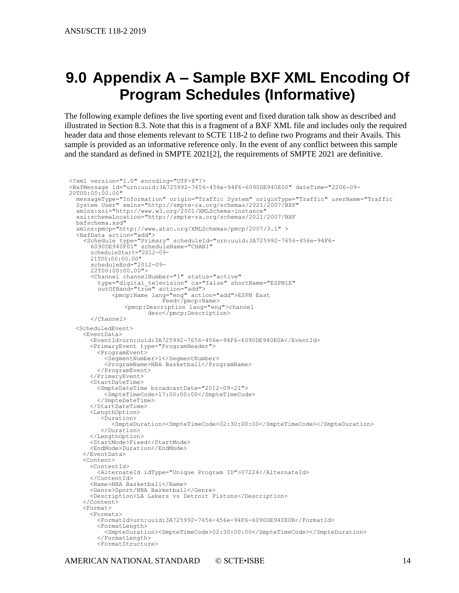# <span id="page-13-0"></span>**9.0 Appendix A – Sample BXF XML Encoding Of Program Schedules (Informative)**

The following example defines the live sporting event and fixed duration talk show as described and illustrated in Section 8.3. Note that this is a fragment of a BXF XML file and includes only the required header data and those elements relevant to SCTE 118-2 to define two Programs and their Avails. This sample is provided as an informative reference only. In the event of any conflict between this sample and the standard as defined in SMPTE 202[1\[2\],](#page-4-12) the requirements of SMPTE 2021 are definitive.

```
<?xml version="1.0" encoding="UTF-8"?>
<BxfMessage id="urn:uuid:3A725992-7656-456e-94F6-6090DE940E00" dateTime="2006-09-
20T00:00:00.00"
  messageType="Information" origin="Traffic System" originType="Traffic" userName="Traffic 
  System User" xmlns="http://smpte-ra.org/schemas/2021/2007/BXF"
 xmlns:xsi="http://www.w3.org/2001/XMLSchema-instance"
  xsi:schemaLocation="http://smpte-ra.org/schemas/2021/2007/BXF
 bxfschema.xsd" 
 xmlns:pmcp="http://www.atsc.org/XMLSchemas/pmcp/2007/3.1" >
  <BxfData action="add">
    <Schedule type="Primary" scheduleId="urn:uuid:3A725992-7656-456e-94F6-
      6090DE940F01" scheduleName="CHAN1"
scheduleStart="2012-09-
      21T00:00:00.00" 
      scheduleEnd="2012-09-
      22T00:00:00.00">
      <Channel channelNumber="1" status="active" 
       type="digital_television" ca="false" shortName="ESPN1E" 
       outOfBand="true" action="add">
            <pmcp:Name lang="eng" action="add">ESPN East 
                          Feed</pmcp:Name>
               <pmcp:Description lang="eng">channel 
                      desc</pmcp:Description>
      </Channel>
 <ScheduledEvent>
    <EventData>
      <EventId>urn:uuid:3A725992-7656-456e-94F6-6090DE940E0A</EventId>
      <PrimaryEvent type="ProgramHeader">
       <ProgramEvent>
         <SegmentNumber>1</SegmentNumber>
          <ProgramName>NBA Basketball</ProgramName>
       </ProgramEvent>
      </PrimaryEvent>
      <StartDateTime>
       <SmpteDateTime broadcastDate="2012-09-21">
          <SmpteTimeCode>17:00:00:00</SmpteTimeCode>
       </SmpteDateTime>
     </StartDateTime>
     <LengthOption>
        <Duration>
            <SmpteDuration><SmpteTimeCode>02:30:00:00</SmpteTimeCode></SmpteDuration>
         </Duration>
      </LengthOption>
      <StartMode>Fixed</StartMode>
      <EndMode>Duration</EndMode>
    </EventData>
    <Content>
      <ContentId>
        <AlternateId idType="Unique Program ID">07224</AlternateId>
      </ContentId>
      <Name>NBA Basketball</Name>
      <Genre>Sport/NBA Basketball</Genre>
      <Description>LA Lakers vs Detroit Pistons</Description>
    </Content>
    <Format>
      <Formats>
       <FormatId>urn:uuid:3A725992-7656-456e-94F6-6090DE940E0B</FormatId>
        <FormatLength>
          <SmpteDuration><SmpteTimeCode>02:30:00:00</SmpteTimeCode></SmpteDuration>
        \langle/FormatLength\rangle<FormatStructure>
```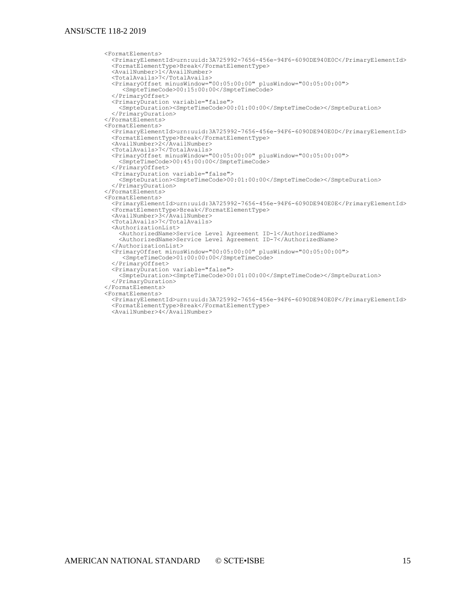#### ANSI/SCTE 118-2 2019

```
<FormatElements>
  <PrimaryElementId>urn:uuid:3A725992-7656-456e-94F6-6090DE940E0C</PrimaryElementId>
  <FormatElementType>Break</FormatElementType>
<AvailNumber>1</AvailNumber>
  <TotalAvails>7</TotalAvails>
  <PrimaryOffset minusWindow="00:05:00:00" plusWindow="00:05:00:00">
<SmpteTimeCode>00:15:00:00</SmpteTimeCode>
  </PrimaryOffset>
  <PrimaryDuration variable="false">
    <SmpteDuration><SmpteTimeCode>00:01:00:00</SmpteTimeCode></SmpteDuration>
  </PrimaryDuration>
</FormatElements>
<FormatElements>
  <PrimaryElementId>urn:uuid:3A725992-7656-456e-94F6-6090DE940E0D</PrimaryElementId>
  <FormatElementType>Break</FormatElementType>
<AvailNumber>2</AvailNumber>
  <TotalAvails>7</TotalAvails>
  <PrimaryOffset minusWindow="00:05:00:00" plusWindow="00:05:00:00">
    <SmpteTimeCode>00:45:00:00</SmpteTimeCode>
  </PrimaryOffset>
  <PrimaryDuration variable="false">
    <SmpteDuration><SmpteTimeCode>00:01:00:00</SmpteTimeCode></SmpteDuration>
  </PrimaryDuration>
</FormatElements>
<FormatElements>
  <PrimaryElementId>urn:uuid:3A725992-7656-456e-94F6-6090DE940E0E</PrimaryElementId>
  <FormatElementType>Break</FormatElementType>
<AvailNumber>3</AvailNumber>
  <TotalAvails>7</TotalAvails>
  <AuthorizationList>
    <AuthorizedName>Service Level Agreement ID-1</AuthorizedName>
    <AuthorizedName>Service Level Agreement ID-7</AuthorizedName>
  </AuthorizationList>
  <PrimaryOffset minusWindow="00:05:00:00" plusWindow="00:05:00:00">
     <SmpteTimeCode>01:00:00:00</SmpteTimeCode>
  </PrimaryOffset>
  <PrimaryDuration variable="false">
    <SmpteDuration><SmpteTimeCode>00:01:00:00</SmpteTimeCode></SmpteDuration>
  </PrimaryDuration>
</FormatElements>
<FormatElements>
  <PrimaryElementId>urn:uuid:3A725992-7656-456e-94F6-6090DE940E0F</PrimaryElementId>
  <FormatElementType>Break</FormatElementType>
  <AvailNumber>4</AvailNumber>
```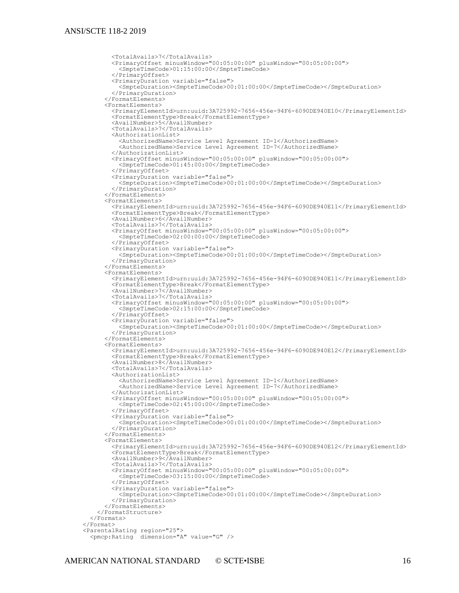#### ANSI/SCTE 118-2 2019

```
<TotalAvails>7</TotalAvails>
        <PrimaryOffset minusWindow="00:05:00:00" plusWindow="00:05:00:00">
          <SmpteTimeCode>01:15:00:00</SmpteTimeCode>
        </PrimaryOffset>
        <PrimaryDuration variable="false">
          <SmpteDuration><SmpteTimeCode>00:01:00:00</SmpteTimeCode></SmpteDuration>
        </PrimaryDuration>
      </FormatElements>
      <FormatElements>
        <PrimaryElementId>urn:uuid:3A725992-7656-456e-94F6-6090DE940E10</PrimaryElementId>
        <FormatElementType>Break</FormatElementType>
        <AvailNumber>5</AvailNumber>
        <TotalAvails>7</TotalAvails>
        <AuthorizationList>
          <AuthorizedName>Service Level Agreement ID-1</AuthorizedName>
          <AuthorizedName>Service Level Agreement ID-7</AuthorizedName>
        </AuthorizationList>
        <PrimaryOffset minusWindow="00:05:00:00" plusWindow="00:05:00:00">
          <SmpteTimeCode>01:45:00:00</SmpteTimeCode>
        </PrimaryOffset>
        <PrimaryDuration variable="false">
          <SmpteDuration><SmpteTimeCode>00:01:00:00</SmpteTimeCode></SmpteDuration>
        </PrimaryDuration>
      </FormatElements>
      <FormatElements>
        <PrimaryElementId>urn:uuid:3A725992-7656-456e-94F6-6090DE940E11</PrimaryElementId>
        <FormatElementType>Break</FormatElementType>
        <AvailNumber>6</AvailNumber>
        <TotalAvails>7</TotalAvails>
        <PrimaryOffset minusWindow="00:05:00:00" plusWindow="00:05:00:00">
          <SmpteTimeCode>02:00:00:00</SmpteTimeCode>
        </PrimaryOffset>
        <PrimaryDuration variable="false">
          <SmpteDuration><SmpteTimeCode>00:01:00:00</SmpteTimeCode></SmpteDuration>
        </PrimaryDuration>
      </FormatElements>
      <FormatElements>
        <PrimaryElementId>urn:uuid:3A725992-7656-456e-94F6-6090DE940E11</PrimaryElementId>
        <FormatElementType>Break</FormatElementType>
        <AvailNumber>7</AvailNumber>
        <TotalAvails>7</TotalAvails>
        <PrimaryOffset minusWindow="00:05:00:00" plusWindow="00:05:00:00">
          <SmpteTimeCode>02:15:00:00</SmpteTimeCode>
        </PrimaryOffset>
        <PrimaryDuration variable="false">
          <SmpteDuration><SmpteTimeCode>00:01:00:00</SmpteTimeCode></SmpteDuration>
        </PrimaryDuration>
      </FormatElements>
      <FormatElements>
        <PrimaryElementId>urn:uuid:3A725992-7656-456e-94F6-6090DE940E12</PrimaryElementId>
        <FormatElementType>Break</FormatElementType>
        <AvailNumber>8</AvailNumber>
        <TotalAvails>7</TotalAvails>
        <AuthorizationList>
          <AuthorizedName>Service Level Agreement ID-1</AuthorizedName>
          <AuthorizedName>Service Level Agreement ID-7</AuthorizedName>
        </AuthorizationList>
        <PrimaryOffset minusWindow="00:05:00:00" plusWindow="00:05:00:00">
          <SmpteTimeCode>02:45:00:00</SmpteTimeCode>
        </PrimaryOffset>
        <PrimaryDuration variable="false">
          <SmpteDuration><SmpteTimeCode>00:01:00:00</SmpteTimeCode></SmpteDuration>
        </PrimaryDuration>
      </FormatElements>
      <FormatElements>
        <PrimaryElementId>urn:uuid:3A725992-7656-456e-94F6-6090DE940E12</PrimaryElementId>
        <FormatElementType>Break</FormatElementType>
        <AvailNumber>9</AvailNumber>
        <TotalAvails>7</TotalAvails>
        <PrimaryOffset minusWindow="00:05:00:00" plusWindow="00:05:00:00">
          <SmpteTimeCode>03:15:00:00</SmpteTimeCode>
        </PrimaryOffset>
        <PrimaryDuration variable="false">
          <SmpteDuration><SmpteTimeCode>00:01:00:00</SmpteTimeCode></SmpteDuration>
        </PrimaryDuration>
      </FormatElements>
    </FormatStructure>
  </Formats>
</Format>
<ParentalRating region="25">
  <pmcp:Rating dimension="A" value="G" />
```